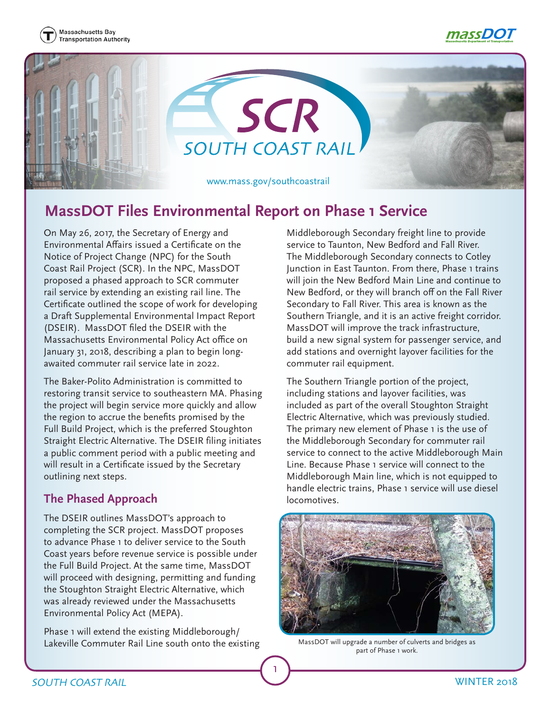





1

# **MassDOT Files Environmental Report on Phase 1 Service**

On May 26, 2017, the Secretary of Energy and Environmental Affairs issued a Certificate on the Notice of Project Change (NPC) for the South Coast Rail Project (SCR). In the NPC, MassDOT proposed a phased approach to SCR commuter rail service by extending an existing rail line. The Certificate outlined the scope of work for developing a Draft Supplemental Environmental Impact Report (DSEIR). MassDOT filed the DSEIR with the Massachusetts Environmental Policy Act office on January 31, 2018, describing a plan to begin longawaited commuter rail service late in 2022.

The Baker-Polito Administration is committed to restoring transit service to southeastern MA. Phasing the project will begin service more quickly and allow the region to accrue the benefits promised by the Full Build Project, which is the preferred Stoughton Straight Electric Alternative. The DSEIR filing initiates a public comment period with a public meeting and will result in a Certificate issued by the Secretary outlining next steps.

# **The Phased Approach**

The DSEIR outlines MassDOT's approach to completing the SCR project. MassDOT proposes to advance Phase 1 to deliver service to the South Coast years before revenue service is possible under the Full Build Project. At the same time, MassDOT will proceed with designing, permitting and funding the Stoughton Straight Electric Alternative, which was already reviewed under the Massachusetts Environmental Policy Act (MEPA).

Phase 1 will extend the existing Middleborough/ Lakeville Commuter Rail Line south onto the existing Middleborough Secondary freight line to provide service to Taunton, New Bedford and Fall River. The Middleborough Secondary connects to Cotley Junction in East Taunton. From there, Phase 1 trains will join the New Bedford Main Line and continue to New Bedford, or they will branch off on the Fall River Secondary to Fall River. This area is known as the Southern Triangle, and it is an active freight corridor. MassDOT will improve the track infrastructure, build a new signal system for passenger service, and add stations and overnight layover facilities for the commuter rail equipment.

The Southern Triangle portion of the project, including stations and layover facilities, was included as part of the overall Stoughton Straight Electric Alternative, which was previously studied. The primary new element of Phase 1 is the use of the Middleborough Secondary for commuter rail service to connect to the active Middleborough Main Line. Because Phase 1 service will connect to the Middleborough Main line, which is not equipped to handle electric trains, Phase 1 service will use diesel locomotives.



MassDOT will upgrade a number of culverts and bridges as part of Phase 1 work.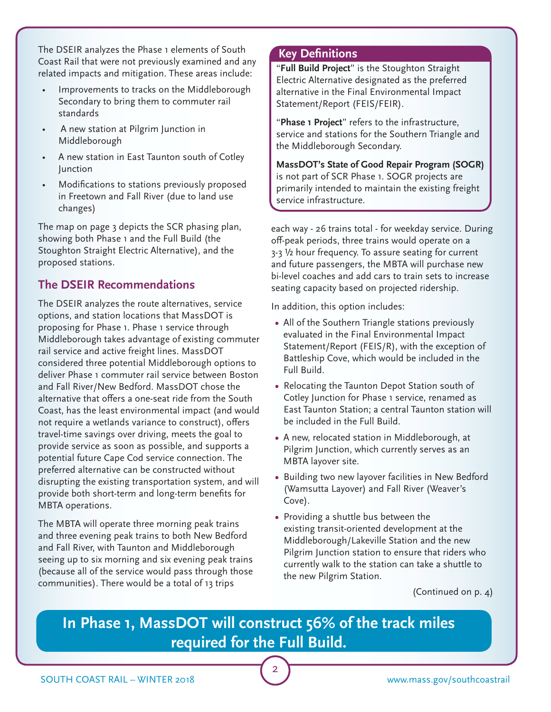The DSEIR analyzes the Phase 1 elements of South Coast Rail that were not previously examined and any related impacts and mitigation. These areas include:

- Improvements to tracks on the Middleborough Secondary to bring them to commuter rail standards
- A new station at Pilgrim Junction in Middleborough
- A new station in East Taunton south of Cotley Junction
- Modifications to stations previously proposed in Freetown and Fall River (due to land use changes)

The map on page 3 depicts the SCR phasing plan, showing both Phase 1 and the Full Build (the Stoughton Straight Electric Alternative), and the proposed stations.

#### **The DSEIR Recommendations**

The DSEIR analyzes the route alternatives, service options, and station locations that MassDOT is proposing for Phase 1. Phase 1 service through Middleborough takes advantage of existing commuter rail service and active freight lines. MassDOT considered three potential Middleborough options to deliver Phase 1 commuter rail service between Boston and Fall River/New Bedford. MassDOT chose the alternative that offers a one-seat ride from the South Coast, has the least environmental impact (and would not require a wetlands variance to construct), offers travel-time savings over driving, meets the goal to provide service as soon as possible, and supports a potential future Cape Cod service connection. The preferred alternative can be constructed without disrupting the existing transportation system, and will provide both short-term and long-term benefits for MBTA operations.

The MBTA will operate three morning peak trains and three evening peak trains to both New Bedford and Fall River, with Taunton and Middleborough seeing up to six morning and six evening peak trains (because all of the service would pass through those communities). There would be a total of 13 trips

#### **Key Definitions**

"**Full Build Project**" is the Stoughton Straight Electric Alternative designated as the preferred alternative in the Final Environmental Impact Statement/Report (FEIS/FEIR).

"**Phase 1 Project**" refers to the infrastructure, service and stations for the Southern Triangle and the Middleborough Secondary.

**MassDOT's State of Good Repair Program (SOGR)** is not part of SCR Phase 1. SOGR projects are primarily intended to maintain the existing freight service infrastructure.

each way - 26 trains total - for weekday service. During off-peak periods, three trains would operate on a 3-3 ½ hour frequency. To assure seating for current and future passengers, the MBTA will purchase new bi-level coaches and add cars to train sets to increase seating capacity based on projected ridership.

In addition, this option includes:

- **•** All of the Southern Triangle stations previously evaluated in the Final Environmental Impact Statement/Report (FEIS/R), with the exception of Battleship Cove, which would be included in the Full Build.
- **•** Relocating the Taunton Depot Station south of Cotley Junction for Phase 1 service, renamed as East Taunton Station; a central Taunton station will be included in the Full Build.
- **•** A new, relocated station in Middleborough, at Pilgrim Junction, which currently serves as an MBTA layover site.
- **•** Building two new layover facilities in New Bedford (Wamsutta Layover) and Fall River (Weaver's Cove).
- **•** Providing a shuttle bus between the existing transit-oriented development at the Middleborough/Lakeville Station and the new Pilgrim Junction station to ensure that riders who currently walk to the station can take a shuttle to the new Pilgrim Station.

(Continued on p. 4)

# **In Phase 1, MassDOT will construct 56% of the track miles required for the Full Build.**

2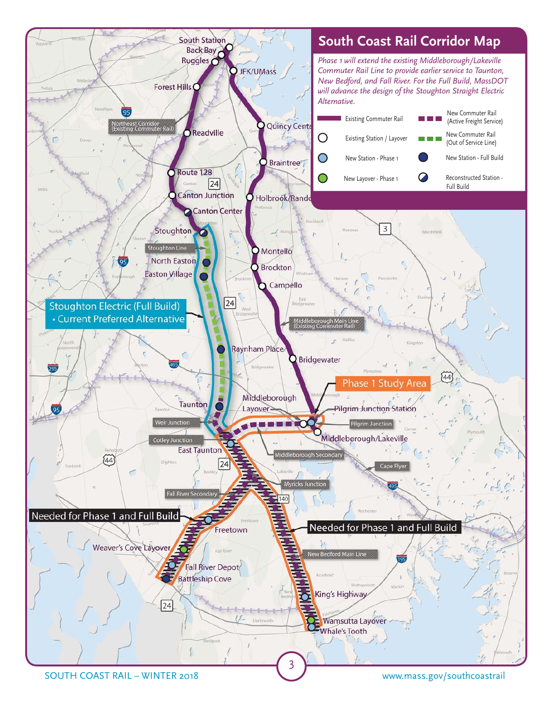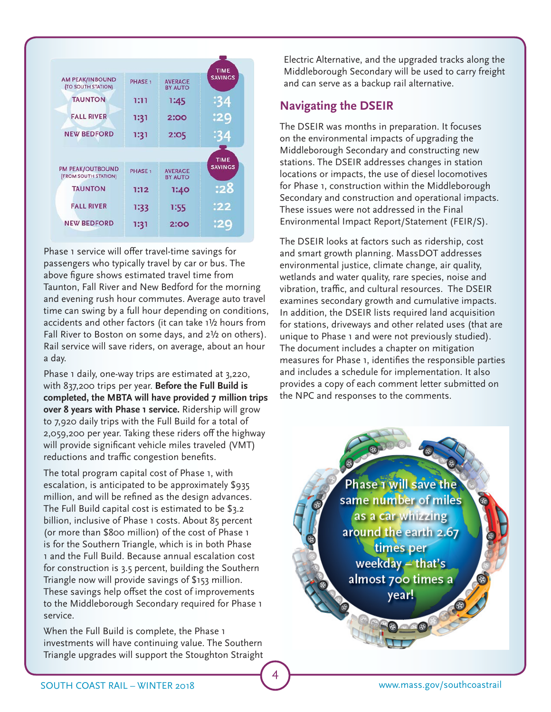| <b>PHASE 1</b>     | <b>AVERAGE</b><br><b>BY AUTO</b> | <b>TIME</b><br><b>SAVINGS</b> |
|--------------------|----------------------------------|-------------------------------|
| 1:11               | 1:45                             | :34                           |
| 1:31               | 2:00                             | :29                           |
| 1:31               | 2:05                             | :34                           |
|                    |                                  | <b>TIME</b>                   |
| PHASE <sub>1</sub> | <b>AVERAGE</b><br><b>BY AUTO</b> | <b>SAVINGS</b>                |
| 1:12               | 1:40                             | :28                           |
| 1:33               | 1:55                             | :22                           |
| 1:31               | 2:00                             | :29                           |
|                    |                                  |                               |

Phase 1 service will offer travel-time savings for passengers who typically travel by car or bus. The above figure shows estimated travel time from Taunton, Fall River and New Bedford for the morning and evening rush hour commutes. Average auto travel time can swing by a full hour depending on conditions, accidents and other factors (it can take 1½ hours from Fall River to Boston on some days, and 2½ on others). Rail service will save riders, on average, about an hour a day.

Phase 1 daily, one-way trips are estimated at 3,220, with 837,200 trips per year. **Before the Full Build is completed, the MBTA will have provided 7 million trips over 8 years with Phase 1 service.** Ridership will grow to 7,920 daily trips with the Full Build for a total of 2,059,200 per year. Taking these riders off the highway will provide significant vehicle miles traveled (VMT) reductions and traffic congestion benefits.

The total program capital cost of Phase 1, with escalation, is anticipated to be approximately \$935 million, and will be refined as the design advances. The Full Build capital cost is estimated to be \$3.2 billion, inclusive of Phase 1 costs. About 85 percent (or more than \$800 million) of the cost of Phase 1 is for the Southern Triangle, which is in both Phase 1 and the Full Build. Because annual escalation cost for construction is 3.5 percent, building the Southern Triangle now will provide savings of \$153 million. These savings help offset the cost of improvements to the Middleborough Secondary required for Phase 1 service.

When the Full Build is complete, the Phase 1 investments will have continuing value. The Southern Triangle upgrades will support the Stoughton Straight

4

Electric Alternative, and the upgraded tracks along the Middleborough Secondary will be used to carry freight and can serve as a backup rail alternative.

## **Navigating the DSEIR**

The DSEIR was months in preparation. It focuses on the environmental impacts of upgrading the Middleborough Secondary and constructing new stations. The DSEIR addresses changes in station locations or impacts, the use of diesel locomotives for Phase 1, construction within the Middleborough Secondary and construction and operational impacts. These issues were not addressed in the Final Environmental Impact Report/Statement (FEIR/S).

The DSEIR looks at factors such as ridership, cost and smart growth planning. MassDOT addresses environmental justice, climate change, air quality, wetlands and water quality, rare species, noise and vibration, traffic, and cultural resources. The DSEIR examines secondary growth and cumulative impacts. In addition, the DSEIR lists required land acquisition for stations, driveways and other related uses (that are unique to Phase 1 and were not previously studied). The document includes a chapter on mitigation measures for Phase 1, identifies the responsible parties and includes a schedule for implementation. It also provides a copy of each comment letter submitted on the NPC and responses to the comments.

> Phase 1 will save the same number of miles as a car whizzing around the earth 2.67 times per weekday - that's almost 700 times a year!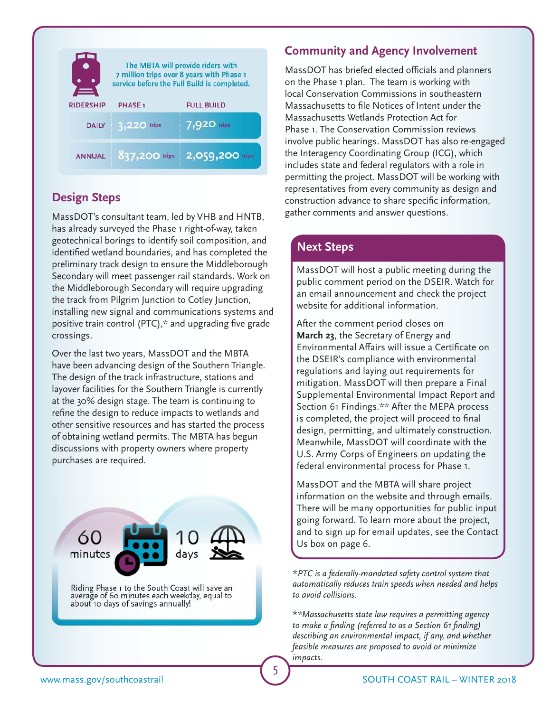|                  | The MBTA will provide riders with<br>7 million trips over 8 years with Phase 1<br>service before the Full Build is completed. |                   |  |  |
|------------------|-------------------------------------------------------------------------------------------------------------------------------|-------------------|--|--|
| <b>RIDERSHIP</b> | <b>PHASE1</b>                                                                                                                 | <b>FULL BUILD</b> |  |  |
| <b>DAILY</b>     | 3,220<br>trips                                                                                                                | 7,920 trips       |  |  |
| <b>ANNUAL</b>    | 837,200 trips                                                                                                                 | 2,059,200 trips   |  |  |

### **Design Steps**

MassDOT's consultant team, led by VHB and HNTB, has already surveyed the Phase 1 right-of-way, taken geotechnical borings to identify soil composition, and identified wetland boundaries, and has completed the preliminary track design to ensure the Middleborough Secondary will meet passenger rail standards. Work on the Middleborough Secondary will require upgrading the track from Pilgrim Junction to Cotley Junction, installing new signal and communications systems and positive train control (PTC),\* and upgrading five grade crossings.

Over the last two years, MassDOT and the MBTA have been advancing design of the Southern Triangle. The design of the track infrastructure, stations and layover facilities for the Southern Triangle is currently at the 30% design stage. The team is continuing to refine the design to reduce impacts to wetlands and other sensitive resources and has started the process of obtaining wetland permits. The MBTA has begun discussions with property owners where property purchases are required.



#### **Community and Agency Involvement**

MassDOT has briefed elected officials and planners on the Phase 1 plan. The team is working with local Conservation Commissions in southeastern Massachusetts to file Notices of Intent under the Massachusetts Wetlands Protection Act for Phase 1. The Conservation Commission reviews involve public hearings. MassDOT has also re-engaged the Interagency Coordinating Group (ICG), which includes state and federal regulators with a role in permitting the project. MassDOT will be working with representatives from every community as design and construction advance to share specific information, gather comments and answer questions.

### **Next Steps**

MassDOT will host a public meeting during the public comment period on the DSEIR. Watch for an email announcement and check the project website for additional information.

After the comment period closes on **March 23**, the Secretary of Energy and Environmental Affairs will issue a Certificate on the DSEIR's compliance with environmental regulations and laying out requirements for mitigation. MassDOT will then prepare a Final Supplemental Environmental Impact Report and Section 61 Findings.\*\* After the MEPA process is completed, the project will proceed to final design, permitting, and ultimately construction. Meanwhile, MassDOT will coordinate with the U.S. Army Corps of Engineers on updating the federal environmental process for Phase 1.

MassDOT and the MBTA will share project information on the website and through emails. There will be many opportunities for public input going forward. To learn more about the project, and to sign up for email updates, see the Contact Us box on page 6.

\**PTC is a federally-mandated safety control system that automatically reduces train speeds when needed and helps to avoid collisions.*

\**\*Massachusetts state law requires a permitting agency to make a finding (referred to as a Section 61 finding) describing an environmental impact, if any, and whether feasible measures are proposed to avoid or minimize impacts.*